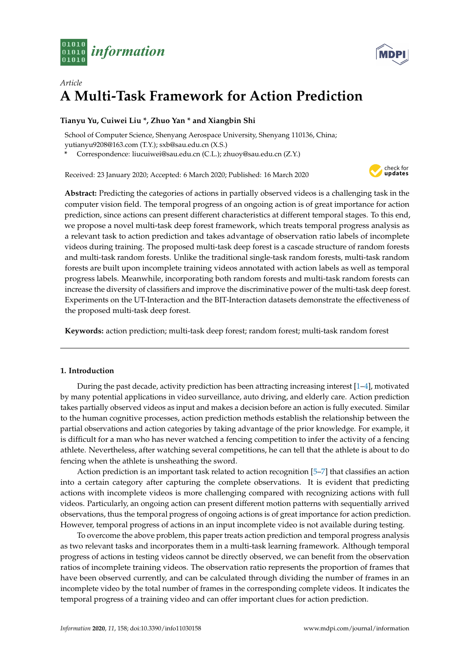



# *Article* **A Multi-Task Framework for Action Prediction**

# **Tianyu Yu, Cuiwei Liu \*, Zhuo Yan \* and Xiangbin Shi**

School of Computer Science, Shenyang Aerospace University, Shenyang 110136, China; yutianyu9208@163.com (T.Y.); sxb@sau.edu.cn (X.S.)

**\*** Correspondence: liucuiwei@sau.edu.cn (C.L.); zhuoy@sau.edu.cn (Z.Y.)

Received: 23 January 2020; Accepted: 6 March 2020; Published: 16 March 2020



**Abstract:** Predicting the categories of actions in partially observed videos is a challenging task in the computer vision field. The temporal progress of an ongoing action is of great importance for action prediction, since actions can present different characteristics at different temporal stages. To this end, we propose a novel multi-task deep forest framework, which treats temporal progress analysis as a relevant task to action prediction and takes advantage of observation ratio labels of incomplete videos during training. The proposed multi-task deep forest is a cascade structure of random forests and multi-task random forests. Unlike the traditional single-task random forests, multi-task random forests are built upon incomplete training videos annotated with action labels as well as temporal progress labels. Meanwhile, incorporating both random forests and multi-task random forests can increase the diversity of classifiers and improve the discriminative power of the multi-task deep forest. Experiments on the UT-Interaction and the BIT-Interaction datasets demonstrate the effectiveness of the proposed multi-task deep forest.

**Keywords:** action prediction; multi-task deep forest; random forest; multi-task random forest

# **1. Introduction**

During the past decade, activity prediction has been attracting increasing interest [\[1–](#page-10-0)[4\]](#page-10-1), motivated by many potential applications in video surveillance, auto driving, and elderly care. Action prediction takes partially observed videos as input and makes a decision before an action is fully executed. Similar to the human cognitive processes, action prediction methods establish the relationship between the partial observations and action categories by taking advantage of the prior knowledge. For example, it is difficult for a man who has never watched a fencing competition to infer the activity of a fencing athlete. Nevertheless, after watching several competitions, he can tell that the athlete is about to do fencing when the athlete is unsheathing the sword.

Action prediction is an important task related to action recognition [\[5](#page-10-2)[–7\]](#page-10-3) that classifies an action into a certain category after capturing the complete observations. It is evident that predicting actions with incomplete videos is more challenging compared with recognizing actions with full videos. Particularly, an ongoing action can present different motion patterns with sequentially arrived observations, thus the temporal progress of ongoing actions is of great importance for action prediction. However, temporal progress of actions in an input incomplete video is not available during testing.

To overcome the above problem, this paper treats action prediction and temporal progress analysis as two relevant tasks and incorporates them in a multi-task learning framework. Although temporal progress of actions in testing videos cannot be directly observed, we can benefit from the observation ratios of incomplete training videos. The observation ratio represents the proportion of frames that have been observed currently, and can be calculated through dividing the number of frames in an incomplete video by the total number of frames in the corresponding complete videos. It indicates the temporal progress of a training video and can offer important clues for action prediction.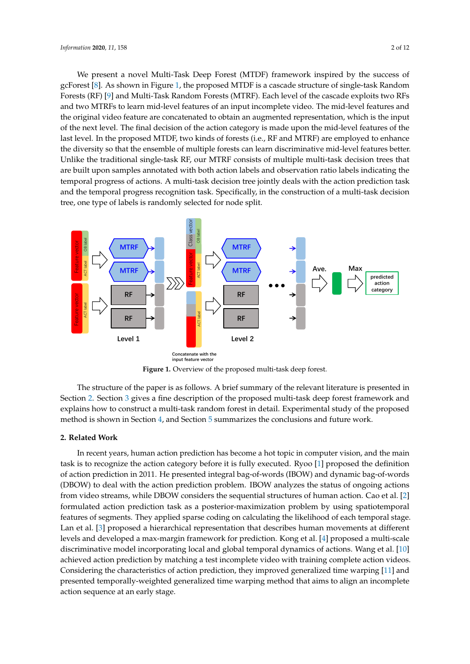We present a novel Multi-Task Deep Forest (MTDF) framework inspired by the success of gcForest [\[8\]](#page-10-4). As shown in Figure [1,](#page-1-0) the proposed MTDF is a cascade structure of single-task Random Forests (RF) [\[9\]](#page-10-5) and Multi-Task Random Forests (MTRF). Each level of the cascade exploits two RFs and two MTRFs to learn mid-level features of an input incomplete video. The mid-level features and the original video feature are concatenated to obtain an augmented representation, which is the input of the next level. The final decision of the action category is made upon the mid-level features of the last level. In the proposed MTDF, two kinds of forests (i.e., RF and MTRF) are employed to enhance the diversity so that the ensemble of multiple forests can learn discriminative mid-level features better. Unlike the traditional single-task RF, our MTRF consists of multiple multi-task decision trees that are built upon samples annotated with both action labels and observation ratio labels indicating the temporal progress of actions. A multi-task decision tree jointly deals with the action prediction task and the temporal progress recognition task. Specifically, in the construction of a multi-task decision tree, one type of labels is randomly selected for node split.

<span id="page-1-0"></span>

**Figure 1.** Overview of the proposed multi-task deep forest.

The structure of the paper is as follows. A brief summary of the relevant literature is presented in Section [2.](#page-1-1) Section [3](#page-2-0) gives a fine description of the proposed multi-task deep forest framework and explains how to construct a multi-task random forest in detail. Experimental study of the proposed method is shown in Section [4,](#page-6-0) and Section [5](#page-9-0) summarizes the conclusions and future work.

### <span id="page-1-1"></span>**2. Related Work**

In recent years, human action prediction has become a hot topic in computer vision, and the main task is to recognize the action category before it is fully executed. Ryoo [\[1\]](#page-10-0) proposed the definition of action prediction in 2011. He presented integral bag-of-words (IBOW) and dynamic bag-of-words (DBOW) to deal with the action prediction problem. IBOW analyzes the status of ongoing actions from video streams, while DBOW considers the sequential structures of human action. Cao et al. [\[2\]](#page-10-6) formulated action prediction task as a posterior-maximization problem by using spatiotemporal features of segments. They applied sparse coding on calculating the likelihood of each temporal stage. Lan et al. [\[3\]](#page-10-7) proposed a hierarchical representation that describes human movements at different levels and developed a max-margin framework for prediction. Kong et al. [\[4\]](#page-10-1) proposed a multi-scale discriminative model incorporating local and global temporal dynamics of actions. Wang et al. [\[10\]](#page-10-8) achieved action prediction by matching a test incomplete video with training complete action videos. Considering the characteristics of action prediction, they improved generalized time warping [\[11\]](#page-10-9) and presented temporally-weighted generalized time warping method that aims to align an incomplete action sequence at an early stage.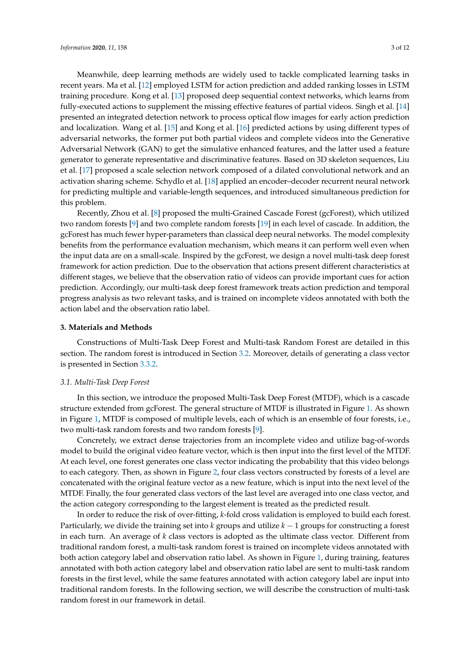Meanwhile, deep learning methods are widely used to tackle complicated learning tasks in recent years. Ma et al. [\[12\]](#page-10-10) employed LSTM for action prediction and added ranking losses in LSTM training procedure. Kong et al. [\[13\]](#page-10-11) proposed deep sequential context networks, which learns from fully-executed actions to supplement the missing effective features of partial videos. Singh et al. [\[14\]](#page-11-0) presented an integrated detection network to process optical flow images for early action prediction and localization. Wang et al. [\[15\]](#page-11-1) and Kong et al. [\[16\]](#page-11-2) predicted actions by using different types of adversarial networks, the former put both partial videos and complete videos into the Generative Adversarial Network (GAN) to get the simulative enhanced features, and the latter used a feature generator to generate representative and discriminative features. Based on 3D skeleton sequences, Liu et al. [\[17\]](#page-11-3) proposed a scale selection network composed of a dilated convolutional network and an activation sharing scheme. Schydlo et al. [\[18\]](#page-11-4) applied an encoder–decoder recurrent neural network for predicting multiple and variable-length sequences, and introduced simultaneous prediction for this problem.

Recently, Zhou et al. [\[8\]](#page-10-4) proposed the multi-Grained Cascade Forest (gcForest), which utilized two random forests [\[9\]](#page-10-5) and two complete random forests [\[19\]](#page-11-5) in each level of cascade. In addition, the gcForest has much fewer hyper-parameters than classical deep neural networks. The model complexity benefits from the performance evaluation mechanism, which means it can perform well even when the input data are on a small-scale. Inspired by the gcForest, we design a novel multi-task deep forest framework for action prediction. Due to the observation that actions present different characteristics at different stages, we believe that the observation ratio of videos can provide important cues for action prediction. Accordingly, our multi-task deep forest framework treats action prediction and temporal progress analysis as two relevant tasks, and is trained on incomplete videos annotated with both the action label and the observation ratio label.

#### <span id="page-2-0"></span>**3. Materials and Methods**

Constructions of Multi-Task Deep Forest and Multi-task Random Forest are detailed in this section. The random forest is introduced in Section [3.2.](#page-3-0) Moreover, details of generating a class vector is presented in Section [3.3.2.](#page-5-0)

## *3.1. Multi-Task Deep Forest*

In this section, we introduce the proposed Multi-Task Deep Forest (MTDF), which is a cascade structure extended from gcForest. The general structure of MTDF is illustrated in Figure [1.](#page-1-0) As shown in Figure [1,](#page-1-0) MTDF is composed of multiple levels, each of which is an ensemble of four forests, i.e., two multi-task random forests and two random forests [\[9\]](#page-10-5).

Concretely, we extract dense trajectories from an incomplete video and utilize bag-of-words model to build the original video feature vector, which is then input into the first level of the MTDF. At each level, one forest generates one class vector indicating the probability that this video belongs to each category. Then, as shown in Figure [2,](#page-3-1) four class vectors constructed by forests of a level are concatenated with the original feature vector as a new feature, which is input into the next level of the MTDF. Finally, the four generated class vectors of the last level are averaged into one class vector, and the action category corresponding to the largest element is treated as the predicted result.

In order to reduce the risk of over-fitting, *k*-fold cross validation is employed to build each forest. Particularly, we divide the training set into *k* groups and utilize *k* − 1 groups for constructing a forest in each turn. An average of *k* class vectors is adopted as the ultimate class vector. Different from traditional random forest, a multi-task random forest is trained on incomplete videos annotated with both action category label and observation ratio label. As shown in Figure [1,](#page-1-0) during training, features annotated with both action category label and observation ratio label are sent to multi-task random forests in the first level, while the same features annotated with action category label are input into traditional random forests. In the following section, we will describe the construction of multi-task random forest in our framework in detail.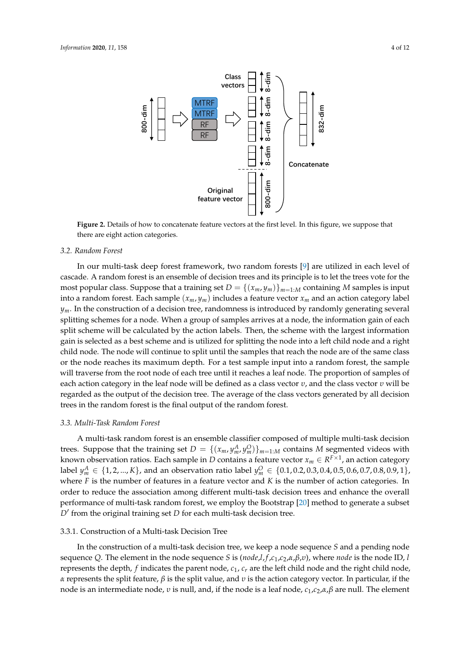<span id="page-3-1"></span>

**Figure 2.** Details of how to concatenate feature vectors at the first level. In this figure, we suppose that there are eight action categories.

#### <span id="page-3-0"></span>*3.2. Random Forest*

In our multi-task deep forest framework, two random forests [\[9\]](#page-10-5) are utilized in each level of cascade. A random forest is an ensemble of decision trees and its principle is to let the trees vote for the most popular class. Suppose that a training set  $D = \{(x_m, y_m)\}_{m=1:M}$  containing *M* samples is input into a random forest. Each sample  $(x_m, y_m)$  includes a feature vector  $x_m$  and an action category label  $y_m$ . In the construction of a decision tree, randomness is introduced by randomly generating several splitting schemes for a node. When a group of samples arrives at a node, the information gain of each split scheme will be calculated by the action labels. Then, the scheme with the largest information gain is selected as a best scheme and is utilized for splitting the node into a left child node and a right child node. The node will continue to split until the samples that reach the node are of the same class or the node reaches its maximum depth. For a test sample input into a random forest, the sample will traverse from the root node of each tree until it reaches a leaf node. The proportion of samples of each action category in the leaf node will be defined as a class vector *υ*, and the class vector *υ* will be regarded as the output of the decision tree. The average of the class vectors generated by all decision trees in the random forest is the final output of the random forest.

## *3.3. Multi-Task Random Forest*

A multi-task random forest is an ensemble classifier composed of multiple multi-task decision trees. Suppose that the training set  $D = \{(x_m, y_m^A, y_m^O)\}_{m=1:M}$  contains M segmented videos with known observation ratios. Each sample in  $D$  contains a feature vector  $x_m \in R^{F \times 1}$ , an action category label  $y_{m}^{A} \in \{1, 2, ..., K\}$ , and an observation ratio label  $y_{m}^{O} \in \{0.1, 0.2, 0.3, 0.4, 0.5, 0.6, 0.7, 0.8, 0.9, 1\}$ , where *F* is the number of features in a feature vector and *K* is the number of action categories. In order to reduce the association among different multi-task decision trees and enhance the overall performance of multi-task random forest, we employ the Bootstrap [\[20\]](#page-11-6) method to generate a subset *D*<sup> $\prime$ </sup> from the original training set *D* for each multi-task decision tree.

# 3.3.1. Construction of a Multi-task Decision Tree

In the construction of a multi-task decision tree, we keep a node sequence *S* and a pending node sequence *Q*. The element in the node sequence *S* is  $(node, l, f, c_1, c_2, \alpha, \beta, \nu)$ , where *node* is the node ID, *l* represents the depth, *f* indicates the parent node, *c*1, *c<sup>r</sup>* are the left child node and the right child node, *α* represents the split feature, *β* is the split value, and *υ* is the action category vector. In particular, if the node is an intermediate node, *υ* is null, and, if the node is a leaf node, *c*1,*c*2,*α*,*β* are null. The element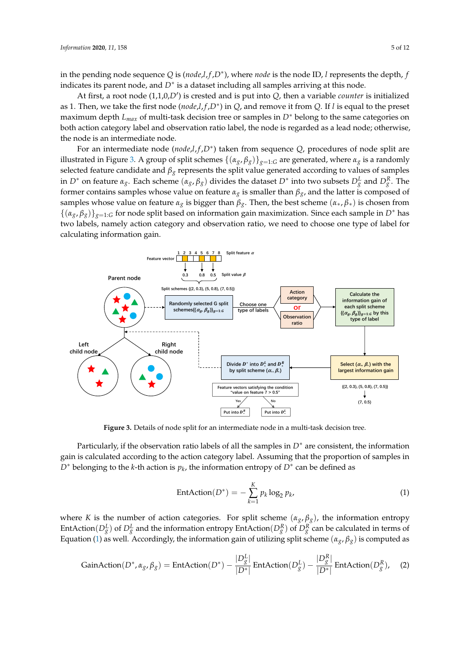in the pending node sequence *Q* is (*node*,*l*, *f*, *D*<sup>\*</sup>), where *node* is the node ID, *l* represents the depth, *f* indicates its parent node, and *D*<sup>∗</sup> is a dataset including all samples arriving at this node.

At first, a root node (1,1,0,*D'*) is crested and is put into *Q*, then a variable *counter* is initialized as 1. Then, we take the first node (*node*,*l*, *f* ,*D*<sup>∗</sup> ) in *Q*, and remove it from *Q*. If *l* is equal to the preset maximum depth *Lmax* of multi-task decision tree or samples in *D*<sup>∗</sup> belong to the same categories on both action category label and observation ratio label, the node is regarded as a lead node; otherwise, the node is an intermediate node.

For an intermediate node (*node*,*l*, *f*, *D*<sup>\*</sup>) taken from sequence *Q*, procedures of node split are illustrated in Figure [3.](#page-4-0) A group of split schemes  $\{(a_g, \beta_g)\}_{g=1:G}$  are generated, where  $\alpha_g$  is a randomly selected feature candidate and *βg* represents the split value generated according to values of samples in  $D^*$  on feature  $\alpha_g$ . Each scheme  $(\alpha_g, \beta_g)$  divides the dataset  $D^*$  into two subsets  $D_g^L$  and  $D_g^R$ . The former contains samples whose value on feature  $\alpha_g$  is smaller than  $\beta_g$ , and the latter is composed of samples whose value on feature *α<sup>g</sup>* is bigger than *βg*. Then, the best scheme (*α*∗, *β*∗) is chosen from  $\{(\alpha_g, \beta_g)\}_{g=1:G}$  for node split based on information gain maximization. Since each sample in *D*<sup>∗</sup> has two labels, namely action category and observation ratio, we need to choose one type of label for calculating information gain.

<span id="page-4-0"></span>

**Figure 3.** Details of node split for an intermediate node in a multi-task decision tree.

Particularly, if the observation ratio labels of all the samples in *D*<sup>∗</sup> are consistent, the information gain is calculated according to the action category label. Assuming that the proportion of samples in  $D^*$  belonging to the *k*-th action is  $p_k$ , the information entropy of  $D^*$  can be defined as

<span id="page-4-1"></span>
$$
EntAction(D^*) = -\sum_{k=1}^{K} p_k \log_2 p_k,
$$
\n(1)

where *K* is the number of action categories. For split scheme ( $\alpha_g$ ,  $\beta_g$ ), the information entropy EntAction( $D_g^L$ ) of  $D_g^L$  and the information entropy EntAction( $D_g^R$ ) of  $D_g^R$  can be calculated in terms of Equation [\(1\)](#page-4-1) as well. Accordingly, the information gain of utilizing split scheme ( $\alpha_g$ ,  $\beta_g$ ) is computed as

<span id="page-4-2"></span>
$$
GainAction(D^*, \alpha_g, \beta_g) = EntAction(D^*) - \frac{|D_g^L|}{|D^*|} EntAction(D_g^L) - \frac{|D_g^R|}{|D^*|} EntAction(D_g^R), \quad (2)
$$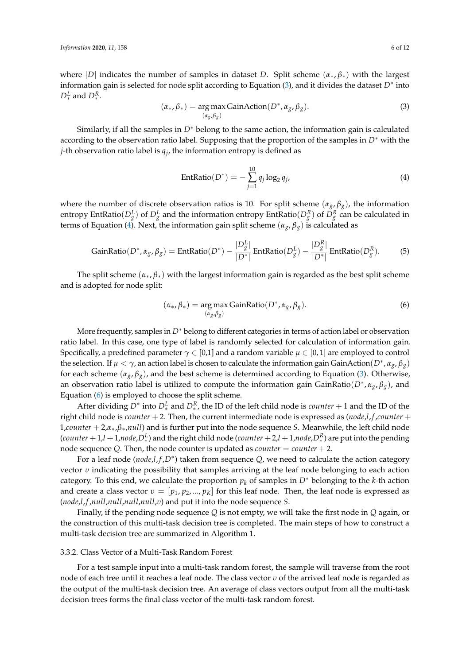where |*D*| indicates the number of samples in dataset *D*. Split scheme (*α*∗, *β*∗) with the largest information gain is selected for node split according to Equation [\(3\)](#page-5-1), and it divides the dataset *D*<sup>∗</sup> into  $D_*^L$  and  $D_*^R$ .

<span id="page-5-1"></span>
$$
(\alpha_*, \beta_*) = \underset{(\alpha_g, \beta_g)}{\arg \max} \text{GainAction}(D^*, \alpha_g, \beta_g). \tag{3}
$$

Similarly, if all the samples in *D*<sup>∗</sup> belong to the same action, the information gain is calculated according to the observation ratio label. Supposing that the proportion of the samples in *D*<sup>∗</sup> with the *j*-th observation ratio label is *q<sup>j</sup>* , the information entropy is defined as

<span id="page-5-2"></span>
$$
EntRatio(D^*) = -\sum_{j=1}^{10} q_j \log_2 q_j,
$$
\n(4)

where the number of discrete observation ratios is 10. For split scheme ( $\alpha_g$ ,  $\beta_g$ ), the information entropy EntRatio $(D_g^L)$  of  $D_g^L$  and the information entropy EntRatio $(D_g^R)$  of  $D_g^R$  can be calculated in terms of Equation [\(4\)](#page-5-2). Next, the information gain split scheme ( $\alpha_g$ ,  $\beta_g$ ) is calculated as

<span id="page-5-4"></span>
$$
GainRatio(D^*, \alpha_g, \beta_g) = EntRatio(D^*) - \frac{|D_g^L|}{|D^*|} EntRatio(D_g^L) - \frac{|D_g^R|}{|D^*|} EntRatio(D_g^R).
$$
 (5)

The split scheme ( $\alpha_*, \beta_*$ ) with the largest information gain is regarded as the best split scheme and is adopted for node split:

<span id="page-5-3"></span>
$$
(\alpha_*, \beta_*) = \underset{(\alpha_g, \beta_g)}{\arg \max} \text{GainRatio}(D^*, \alpha_g, \beta_g). \tag{6}
$$

More frequently, samples in *D*<sup>∗</sup> belong to different categories in terms of action label or observation ratio label. In this case, one type of label is randomly selected for calculation of information gain. Specifically, a predefined parameter  $\gamma \in [0,1]$  and a random variable  $\mu \in [0,1]$  are employed to control the selection. If  $\mu < \gamma$ , an action label is chosen to calculate the information gain GainAction $(D^*, \alpha_g, \beta_g)$ for each scheme  $(\alpha_g, \beta_g)$ , and the best scheme is determined according to Equation [\(3\)](#page-5-1). Otherwise, an observation ratio label is utilized to compute the information gain GainRatio(*D*<sup>∗</sup> , *αg*, *βg*), and Equation [\(6\)](#page-5-3) is employed to choose the split scheme.

After dividing  $D^*$  into  $D^L_*$  and  $D^R_*$ , the ID of the left child node is *counter* + 1 and the ID of the right child node is *counter* + 2. Then, the current intermediate node is expressed as (*node*,*l*, *f* ,*counter* + 1,*counter* + 2,*α*∗,*β*∗,*null*) and is further put into the node sequence *S*. Meanwhile, the left child node  $(counter+1,l+1,node,D_*^L)$  and the right child node  $(counter+2,l+1,node,D_*^R)$  are put into the pending node sequence *Q*. Then, the node counter is updated as *counter* = *counter* + 2.

For a leaf node (*node*,*l*, *f*, *D*<sup>\*</sup>) taken from sequence *Q*, we need to calculate the action category vector *υ* indicating the possibility that samples arriving at the leaf node belonging to each action category. To this end, we calculate the proportion  $p_k$  of samples in  $D^*$  belonging to the *k*-th action and create a class vector  $v = [p_1, p_2, ..., p_K]$  for this leaf node. Then, the leaf node is expressed as (*node*,*l*, *f* ,*null*,*null*,*null*,*null*,*υ*) and put it into the node sequence *S*.

Finally, if the pending node sequence *Q* is not empty, we will take the first node in *Q* again, or the construction of this multi-task decision tree is completed. The main steps of how to construct a multi-task decision tree are summarized in Algorithm 1.

## <span id="page-5-0"></span>3.3.2. Class Vector of a Multi-Task Random Forest

For a test sample input into a multi-task random forest, the sample will traverse from the root node of each tree until it reaches a leaf node. The class vector *υ* of the arrived leaf node is regarded as the output of the multi-task decision tree. An average of class vectors output from all the multi-task decision trees forms the final class vector of the multi-task random forest.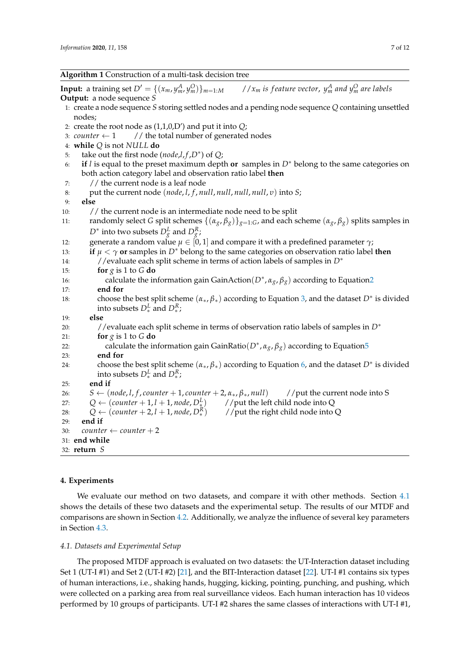## **Algorithm 1** Construction of a multi-task decision tree

**Input:** a training set  $D' = \{(x_m, y_m^A, y_m^O)\}$  $\binom{O}{m}\}_{m=1:M}$  // $x_m$  *is feature vector,*  $y_m^A$  *and*  $y_m^O$  *are labels* **Output:** a node sequence *S* 1: create a node sequence *S* storing settled nodes and a pending node sequence *Q* containing unsettled nodes; 2: create the root node as (1,1,0,D') and put it into *Q*; 3: *counter*  $\leftarrow$  1 // the total number of generated nodes 4: **while** *Q* is not *NULL* **do** 5: take out the first node (*node*,*l*, *f* ,*D*<sup>∗</sup> ) of *Q*; 6: **if** *l* is equal to the preset maximum depth **or** samples in *D*<sup>∗</sup> belong to the same categories on both action category label and observation ratio label **then** 7: // the current node is a leaf node 8: put the current node (*node*, *l*, *f* , *null*, *null*, *null*, *null*, *υ*) into *S*; 9: **else** 10: // the current node is an intermediate node need to be split 11: randomly select *G* split schemes  $\{(a_g, \beta_g)\}_{g=1:G}$ , and each scheme  $(a_g, \beta_g)$  splits samples in  $D^*$  into two subsets  $D_g^L$  and  $D_g^R$ ; 12: generate a random value  $\mu \in [0, 1]$  and compare it with a predefined parameter *γ*; 13: **if** *µ* < *γ* **or** samples in *D*<sup>∗</sup> belong to the same categories on observation ratio label **then** 14: //evaluate each split scheme in terms of action labels of samples in *D*<sup>∗</sup> 15: **for** *g* is 1 to *G* **do** 16: calculate the information gain GainAction(*D*<sup>∗</sup> , *αg*, *βg*) according to Equatio[n2](#page-4-2) 17: **end for** 18: choose the best split scheme  $(\alpha_*, \beta_*)$  according to Equation [3,](#page-5-1) and the dataset  $D^*$  is divided into subsets  $D_*^L$  and  $D_*^R$ ; 19: **else** 20: //evaluate each split scheme in terms of observation ratio labels of samples in *D*<sup>∗</sup> 21: **for** *g* is 1 to *G* **do** 22: calculate the information gain GainRatio( $D^*$ ,  $\alpha_g$ ,  $\beta_g$ ) according to Equatio[n5](#page-5-4) 23: **end for** 24: choose the best split scheme  $(\alpha_*, \beta_*)$  according to Equation [6,](#page-5-3) and the dataset  $D^*$  is divided into subsets  $D_*^L$  and  $D_*^R$ ; 25: **end if** 26:  $S \leftarrow (node, l, f, counter + 1, counter + 2, \alpha_*, \beta_*, null)$  //put the current node into S 27:  $Q ← (counter + 1, l + 1, node, D^L_{\frac{4}{3}})$ ) //put the left child node into Q 28:  $Q \leftarrow (counter + 2, l + 1, node, D_*^R)$ ) //put the right child node into Q 29: **end if** 30:  $counter \leftarrow counter + 2$ 31: **end while** 32: **return** *S*

## <span id="page-6-0"></span>**4. Experiments**

We evaluate our method on two datasets, and compare it with other methods. Section [4.1](#page-6-1) shows the details of these two datasets and the experimental setup. The results of our MTDF and comparisons are shown in Section [4.2.](#page-7-0) Additionally, we analyze the influence of several key parameters in Section [4.3.](#page-9-1)

#### <span id="page-6-1"></span>*4.1. Datasets and Experimental Setup*

The proposed MTDF approach is evaluated on two datasets: the UT-Interaction dataset including Set 1 (UT-I #1) and Set 2 (UT-I #2) [\[21\]](#page-11-7), and the BIT-Interaction dataset [\[22\]](#page-11-8). UT-I #1 contains six types of human interactions, i.e., shaking hands, hugging, kicking, pointing, punching, and pushing, which were collected on a parking area from real surveillance videos. Each human interaction has 10 videos performed by 10 groups of participants. UT-I #2 shares the same classes of interactions with UT-I #1,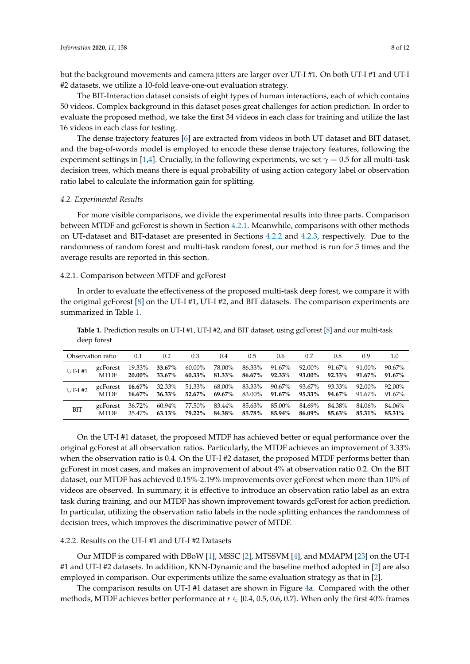but the background movements and camera jitters are larger over UT-I #1. On both UT-I #1 and UT-I #2 datasets, we utilize a 10-fold leave-one-out evaluation strategy.

The BIT-Interaction dataset consists of eight types of human interactions, each of which contains 50 videos. Complex background in this dataset poses great challenges for action prediction. In order to evaluate the proposed method, we take the first 34 videos in each class for training and utilize the last 16 videos in each class for testing.

The dense trajectory features [\[6\]](#page-10-12) are extracted from videos in both UT dataset and BIT dataset, and the bag-of-words model is employed to encode these dense trajectory features, following the experiment settings in [\[1,](#page-10-0)[4\]](#page-10-1). Crucially, in the following experiments, we set  $\gamma = 0.5$  for all multi-task decision trees, which means there is equal probability of using action category label or observation ratio label to calculate the information gain for splitting.

#### <span id="page-7-0"></span>*4.2. Experimental Results*

For more visible comparisons, we divide the experimental results into three parts. Comparison between MTDF and gcForest is shown in Section [4.2.1.](#page-7-1) Meanwhile, comparisons with other methods on UT-dataset and BIT-dataset are presented in Sections [4.2.2](#page-7-2) and [4.2.3,](#page-8-0) respectively. Due to the randomness of random forest and multi-task random forest, our method is run for 5 times and the average results are reported in this section.

#### <span id="page-7-1"></span>4.2.1. Comparison between MTDF and gcForest

In order to evaluate the effectiveness of the proposed multi-task deep forest, we compare it with the original gcForest [\[8\]](#page-10-4) on the UT-I #1, UT-I #2, and BIT datasets. The comparison experiments are summarized in Table [1.](#page-7-3)

<span id="page-7-3"></span>Table 1. Prediction results on UT-I #1, UT-I #2, and BIT dataset, using gcForest [\[8\]](#page-10-4) and our multi-task deep forest

| Observation ratio |                         | 0.1                    | 0.2              | 0.3                 | 0.4              | 0.5                                     | $0.6^{\circ}$    | 0.7              | 0.8              | 0.9              | 1.0                 |
|-------------------|-------------------------|------------------------|------------------|---------------------|------------------|-----------------------------------------|------------------|------------------|------------------|------------------|---------------------|
| $U$ T-I $#1$      | gcForest<br><b>MTDF</b> | 19.33%<br>$20.00\%$    | 33.67%<br>33.67% | 60.00%<br>$60.33\%$ | 78.00%           | 86.33%<br>$81.33\%$ $86.67\%$ $92.33\%$ | 91.67%           | 92.00%<br>93.00% | 91.67%<br>92.33% | 91.00%<br>91.67% | 90.67%<br>$91.67\%$ |
| $U$ T-I $#2$      | gcForest<br><b>MTDF</b> | $16.67\%$<br>$16.67\%$ | 32.33%<br>36.33% | 51.33%<br>52.67%    | 68.00%<br>69.67% | 83.33%<br>83.00%                        | 90.67%<br>91.67% | 93.67%<br>95.33% | 93.33%<br>94.67% | 92.00%<br>91.67% | 92.00%<br>91.67%    |
| BIT               | gcForest<br><b>MTDF</b> | 36.72%<br>$35.47\%$    | 60.94%<br>63.13% | 77.50%<br>79.22%    | 83.44%           | 85.63%<br>84.38% 85.78%                 | 85.00%<br>85.94% | 84.69%<br>86.09% | 84.38%<br>85.63% | 84.06%<br>85.31% | 84.06%<br>85.31%    |

On the UT-I #1 dataset, the proposed MTDF has achieved better or equal performance over the original gcForest at all observation ratios. Particularly, the MTDF achieves an improvement of 3.33% when the observation ratio is 0.4. On the UT-I #2 dataset, the proposed MTDF performs better than gcForest in most cases, and makes an improvement of about 4% at observation ratio 0.2. On the BIT dataset, our MTDF has achieved 0.15%-2.19% improvements over gcForest when more than 10% of videos are observed. In summary, it is effective to introduce an observation ratio label as an extra task during training, and our MTDF has shown improvement towards gcForest for action prediction. In particular, utilizing the observation ratio labels in the node splitting enhances the randomness of decision trees, which improves the discriminative power of MTDF.

## <span id="page-7-2"></span>4.2.2. Results on the UT-I #1 and UT-I #2 Datasets

Our MTDF is compared with DBoW [\[1\]](#page-10-0), MSSC [\[2\]](#page-10-6), MTSSVM [\[4\]](#page-10-1), and MMAPM [\[23\]](#page-11-9) on the UT-I #1 and UT-I #2 datasets. In addition, KNN-Dynamic and the baseline method adopted in [\[2\]](#page-10-6) are also employed in comparison. Our experiments utilize the same evaluation strategy as that in [\[2\]](#page-10-6).

The comparison results on UT-I #1 dataset are shown in Figure [4a](#page-8-1). Compared with the other methods, MTDF achieves better performance at  $r \in \{0.4, 0.5, 0.6, 0.7\}$ . When only the first 40% frames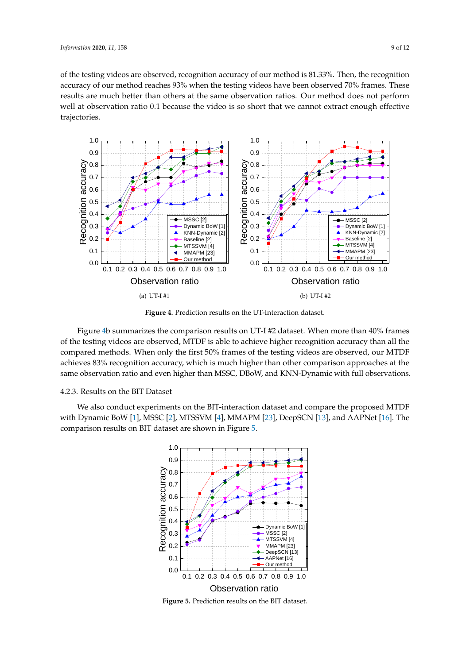of the testing videos are observed, recognition accuracy of our method is 81.33%. Then, the recognition accuracy of our method reaches 93% when the testing videos have been observed 70% frames. These results are much better than others at the same observation ratios. Our method does not perform well at observation ratio 0.1 because the video is so short that we cannot extract enough effective trajectories.

<span id="page-8-1"></span>

**Figure 4.** Prediction results on the UT-Interaction dataset.

Figure [4b](#page-8-1) summarizes the comparison results on UT-I #2 dataset. When more than 40% frames of the testing videos are observed, MTDF is able to achieve higher recognition accuracy than all the compared methods. When only the first 50% frames of the testing videos are observed, our MTDF achieves 83% recognition accuracy, which is much higher than other comparison approaches at the same observation ratio and even higher than MSSC, DBoW, and KNN-Dynamic with full observations.

## <span id="page-8-0"></span>4.2.3. Results on the BIT Dataset

<span id="page-8-2"></span>We also conduct experiments on the BIT-interaction dataset and compare the proposed MTDF with Dynamic BoW [\[1\]](#page-10-0), MSSC [\[2\]](#page-10-6), MTSSVM [\[4\]](#page-10-1), MMAPM [\[23\]](#page-11-9), DeepSCN [\[13\]](#page-10-11), and AAPNet [\[16\]](#page-11-2). The comparison results on BIT dataset are shown in Figure [5.](#page-8-2)



**Figure 5.** Prediction results on the BIT dataset.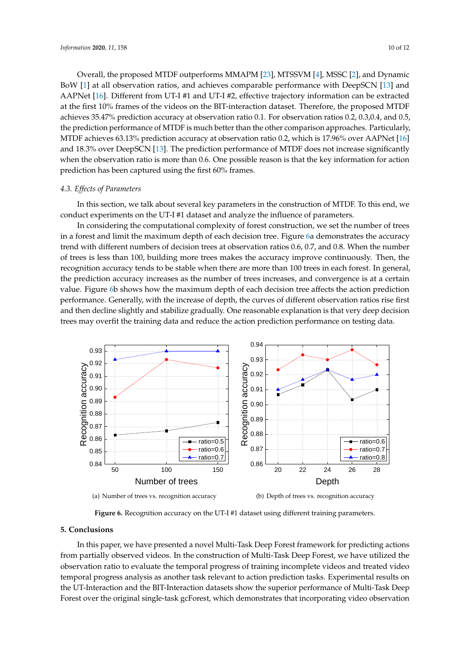Overall, the proposed MTDF outperforms MMAPM [\[23\]](#page-11-9), MTSSVM [\[4\]](#page-10-1), MSSC [\[2\]](#page-10-6), and Dynamic BoW [\[1\]](#page-10-0) at all observation ratios, and achieves comparable performance with DeepSCN [\[13\]](#page-10-11) and AAPNet [\[16\]](#page-11-2). Different from UT-I #1 and UT-I #2, effective trajectory information can be extracted at the first 10% frames of the videos on the BIT-interaction dataset. Therefore, the proposed MTDF achieves 35.47% prediction accuracy at observation ratio 0.1. For observation ratios 0.2, 0.3,0.4, and 0.5, the prediction performance of MTDF is much better than the other comparison approaches. Particularly, MTDF achieves 63.13% prediction accuracy at observation ratio 0.2, which is 17.96% over AAPNet [\[16\]](#page-11-2) and 18.3% over DeepSCN [\[13\]](#page-10-11). The prediction performance of MTDF does not increase significantly when the observation ratio is more than 0.6. One possible reason is that the key information for action prediction has been captured using the first 60% frames.

#### <span id="page-9-1"></span>*4.3. Effects of Parameters*

In this section, we talk about several key parameters in the construction of MTDF. To this end, we conduct experiments on the UT-I #1 dataset and analyze the influence of parameters.

In considering the computational complexity of forest construction, we set the number of trees in a forest and limit the maximum depth of each decision tree. Figure [6a](#page-9-2) demonstrates the accuracy trend with different numbers of decision trees at observation ratios 0.6, 0.7, and 0.8. When the number of trees is less than 100, building more trees makes the accuracy improve continuously. Then, the recognition accuracy tends to be stable when there are more than 100 trees in each forest. In general, the prediction accuracy increases as the number of trees increases, and convergence is at a certain value. Figure [6b](#page-9-2) shows how the maximum depth of each decision tree affects the action prediction performance. Generally, with the increase of depth, the curves of different observation ratios rise first and then decline slightly and stabilize gradually. One reasonable explanation is that very deep decision trees may overfit the training data and reduce the action prediction performance on testing data.

<span id="page-9-2"></span>

(b) Depth of trees vs. recognition accuracy

**Figure 6.** Recognition accuracy on the UT-I #1 dataset using different training parameters.

# <span id="page-9-0"></span>**5. Conclusions**

In this paper, we have presented a novel Multi-Task Deep Forest framework for predicting actions from partially observed videos. In the construction of Multi-Task Deep Forest, we have utilized the observation ratio to evaluate the temporal progress of training incomplete videos and treated video temporal progress analysis as another task relevant to action prediction tasks. Experimental results on the UT-Interaction and the BIT-Interaction datasets show the superior performance of Multi-Task Deep Forest over the original single-task gcForest, which demonstrates that incorporating video observation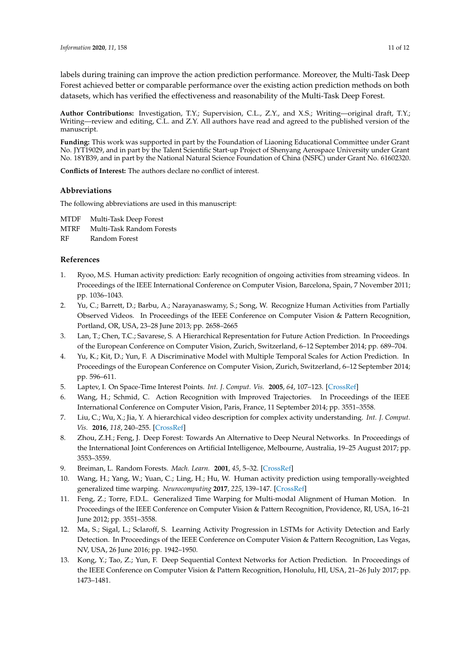labels during training can improve the action prediction performance. Moreover, the Multi-Task Deep Forest achieved better or comparable performance over the existing action prediction methods on both datasets, which has verified the effectiveness and reasonability of the Multi-Task Deep Forest.

**Author Contributions:** Investigation, T.Y.; Supervision, C.L., Z.Y., and X.S.; Writing—original draft, T.Y.; Writing—review and editing, C.L. and Z.Y. All authors have read and agreed to the published version of the manuscript.

**Funding:** This work was supported in part by the Foundation of Liaoning Educational Committee under Grant No. JYT19029, and in part by the Talent Scientific Start-up Project of Shenyang Aerospace University under Grant No. 18YB39, and in part by the National Natural Science Foundation of China (NSFC) under Grant No. 61602320.

**Conflicts of Interest:** The authors declare no conflict of interest.

# **Abbreviations**

The following abbreviations are used in this manuscript:

MTDF Multi-Task Deep Forest

MTRF Multi-Task Random Forests

RF Random Forest

## **References**

- <span id="page-10-0"></span>1. Ryoo, M.S. Human activity prediction: Early recognition of ongoing activities from streaming videos. In Proceedings of the IEEE International Conference on Computer Vision, Barcelona, Spain, 7 November 2011; pp. 1036–1043.
- <span id="page-10-6"></span>2. Yu, C.; Barrett, D.; Barbu, A.; Narayanaswamy, S.; Song, W. Recognize Human Activities from Partially Observed Videos. In Proceedings of the IEEE Conference on Computer Vision & Pattern Recognition, Portland, OR, USA, 23–28 June 2013; pp. 2658–2665
- <span id="page-10-7"></span>3. Lan, T.; Chen, T.C.; Savarese, S. A Hierarchical Representation for Future Action Prediction. In Proceedings of the European Conference on Computer Vision, Zurich, Switzerland, 6–12 September 2014; pp. 689–704.
- <span id="page-10-1"></span>4. Yu, K.; Kit, D.; Yun, F. A Discriminative Model with Multiple Temporal Scales for Action Prediction. In Proceedings of the European Conference on Computer Vision, Zurich, Switzerland, 6–12 September 2014; pp. 596–611.
- <span id="page-10-2"></span>5. Laptev, I. On Space-Time Interest Points. *Int. J. Comput. Vis.* **2005**, *64*, 107–123. [\[CrossRef\]](http://dx.doi.org/10.1007/s11263-005-1838-7)
- <span id="page-10-12"></span>6. Wang, H.; Schmid, C. Action Recognition with Improved Trajectories. In Proceedings of the IEEE International Conference on Computer Vision, Paris, France, 11 September 2014; pp. 3551–3558.
- <span id="page-10-3"></span>7. Liu, C.; Wu, X.; Jia, Y. A hierarchical video description for complex activity understanding. *Int. J. Comput. Vis.* **2016**, *118*, 240–255. [\[CrossRef\]](http://dx.doi.org/10.1007/s11263-016-0897-2)
- <span id="page-10-4"></span>8. Zhou, Z.H.; Feng, J. Deep Forest: Towards An Alternative to Deep Neural Networks. In Proceedings of the International Joint Conferences on Artificial Intelligence, Melbourne, Australia, 19–25 August 2017; pp. 3553–3559.
- <span id="page-10-5"></span>9. Breiman, L. Random Forests. *Mach. Learn.* **2001**, *45*, 5–32. [\[CrossRef\]](http://dx.doi.org/10.1023/A:1010933404324)
- <span id="page-10-8"></span>10. Wang, H.; Yang, W.; Yuan, C.; Ling, H.; Hu, W. Human activity prediction using temporally-weighted generalized time warping. *Neurocomputing* **2017**, *225*, 139–147. [\[CrossRef\]](http://dx.doi.org/10.1016/j.neucom.2016.11.004)
- <span id="page-10-9"></span>11. Feng, Z.; Torre, F.D.L. Generalized Time Warping for Multi-modal Alignment of Human Motion. In Proceedings of the IEEE Conference on Computer Vision & Pattern Recognition, Providence, RI, USA, 16–21 June 2012; pp. 3551–3558.
- <span id="page-10-10"></span>12. Ma, S.; Sigal, L.; Sclaroff, S. Learning Activity Progression in LSTMs for Activity Detection and Early Detection. In Proceedings of the IEEE Conference on Computer Vision & Pattern Recognition, Las Vegas, NV, USA, 26 June 2016; pp. 1942–1950.
- <span id="page-10-11"></span>13. Kong, Y.; Tao, Z.; Yun, F. Deep Sequential Context Networks for Action Prediction. In Proceedings of the IEEE Conference on Computer Vision & Pattern Recognition, Honolulu, HI, USA, 21–26 July 2017; pp. 1473–1481.